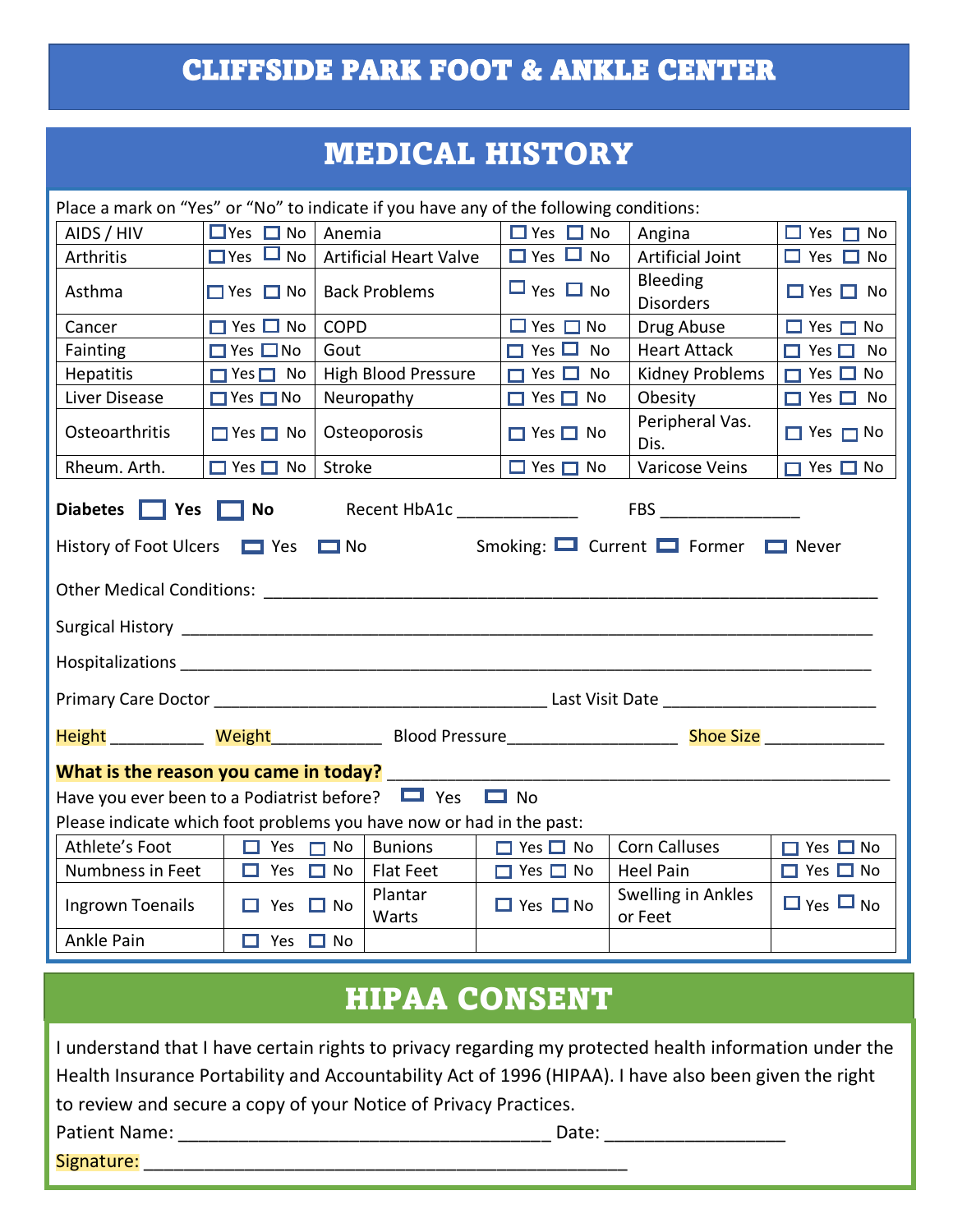### CLIFFSIDE PARK FOOT & ANKLE CENTER

### MEDICAL HISTORY

| Place a mark on "Yes" or "No" to indicate if you have any of the following conditions:                                                                                                                                                                                                                                                       |                      |                                                                                                               |                      |                               |                         |  |  |
|----------------------------------------------------------------------------------------------------------------------------------------------------------------------------------------------------------------------------------------------------------------------------------------------------------------------------------------------|----------------------|---------------------------------------------------------------------------------------------------------------|----------------------|-------------------------------|-------------------------|--|--|
| AIDS / HIV                                                                                                                                                                                                                                                                                                                                   | $\Box$ Yes $\Box$ No | Anemia                                                                                                        | $\Box$ Yes $\Box$ No | Angina                        | $\Box$ Yes $\Box$ No    |  |  |
| Arthritis                                                                                                                                                                                                                                                                                                                                    | $\Box$ Yes $\Box$ No | <b>Artificial Heart Valve</b>                                                                                 | $\Box$ Yes $\Box$ No | <b>Artificial Joint</b>       | $\Box$ Yes $\Box$ No    |  |  |
| Asthma                                                                                                                                                                                                                                                                                                                                       | $\Box$ Yes $\Box$ No | <b>Back Problems</b>                                                                                          | $\Box$ Yes $\Box$ No | Bleeding<br><b>Disorders</b>  | $\Box$ Yes $\Box$ No    |  |  |
| Cancer                                                                                                                                                                                                                                                                                                                                       | $\Box$ Yes $\Box$ No | <b>COPD</b>                                                                                                   | $\Box$ Yes $\Box$ No | Drug Abuse                    | $\Box$ Yes $\Box$ No    |  |  |
| Fainting                                                                                                                                                                                                                                                                                                                                     | $\Box$ Yes $\Box$ No | Gout                                                                                                          | $\Box$ Yes $\Box$ No | <b>Heart Attack</b>           | $\Box$ Yes $\Box$<br>No |  |  |
| <b>Hepatitis</b>                                                                                                                                                                                                                                                                                                                             | $\Box$ Yes $\Box$ No | High Blood Pressure                                                                                           | $\Box$ Yes $\Box$ No | Kidney Problems               | $\Box$ Yes $\Box$ No    |  |  |
| Liver Disease                                                                                                                                                                                                                                                                                                                                | $\Box$ Yes $\Box$ No | Neuropathy                                                                                                    | $\Box$ Yes $\Box$ No | Obesity                       | $\Box$ Yes $\Box$ No    |  |  |
| Osteoarthritis                                                                                                                                                                                                                                                                                                                               | $\Box$ Yes $\Box$ No | Osteoporosis                                                                                                  | $\Box$ Yes $\Box$ No | Peripheral Vas.<br>Dis.       | $\Box$ Yes $\Box$ No    |  |  |
| Rheum. Arth.                                                                                                                                                                                                                                                                                                                                 | $\Box$ Yes $\Box$ No | Stroke                                                                                                        | $\Box$ Yes $\Box$ No | Varicose Veins                | $\Box$ Yes $\Box$ No    |  |  |
| Smoking: $\Box$ Current $\Box$ Former $\Box$ Never<br>History of Foot Ulcers <b>D</b> Yes<br>$\Box$ No<br><b>Hospitalizations</b> and the control of the control of the control of the control of the control of the control of the control of the control of the control of the control of the control of the control of the control of the |                      |                                                                                                               |                      |                               |                         |  |  |
|                                                                                                                                                                                                                                                                                                                                              |                      |                                                                                                               |                      |                               |                         |  |  |
|                                                                                                                                                                                                                                                                                                                                              |                      | Height _____________ Weight________________ Blood Pressure_______________________ Shoe Size _________________ |                      |                               |                         |  |  |
| What is the reason you came in today?                                                                                                                                                                                                                                                                                                        |                      |                                                                                                               |                      |                               |                         |  |  |
| Have you ever been to a Podiatrist before?<br>These Theory                                                                                                                                                                                                                                                                                   |                      |                                                                                                               |                      |                               |                         |  |  |
| Please indicate which foot problems you have now or had in the past:                                                                                                                                                                                                                                                                         |                      |                                                                                                               |                      |                               |                         |  |  |
| Athlete's Foot                                                                                                                                                                                                                                                                                                                               | $\Box$ Yes $\Box$ No | <b>Bunions</b>                                                                                                | $\Box$ Yes $\Box$ No | <b>Corn Calluses</b>          | $\Box$ Yes $\Box$ No    |  |  |
| Numbness in Feet                                                                                                                                                                                                                                                                                                                             | $\Box$ Yes $\Box$ No | <b>Flat Feet</b>                                                                                              | $\Box$ Yes $\Box$ No | <b>Heel Pain</b>              | $\Box$ Yes $\Box$ No    |  |  |
| Ingrown Toenails                                                                                                                                                                                                                                                                                                                             | $\Box$ Yes $\Box$ No | Plantar<br>Warts                                                                                              | $\Box$ Yes $\Box$ No | Swelling in Ankles<br>or Feet | $\Box$ Yes $\Box$ No    |  |  |
| Ankle Pain                                                                                                                                                                                                                                                                                                                                   | $\Box$ Yes $\Box$ No |                                                                                                               |                      |                               |                         |  |  |

## HIPAA CONSENT

| I understand that I have certain rights to privacy regarding my protected health information under the |       |  |  |  |
|--------------------------------------------------------------------------------------------------------|-------|--|--|--|
| Health Insurance Portability and Accountability Act of 1996 (HIPAA). I have also been given the right  |       |  |  |  |
| to review and secure a copy of your Notice of Privacy Practices.                                       |       |  |  |  |
| Patient Name:                                                                                          | Date: |  |  |  |
| Signature:                                                                                             |       |  |  |  |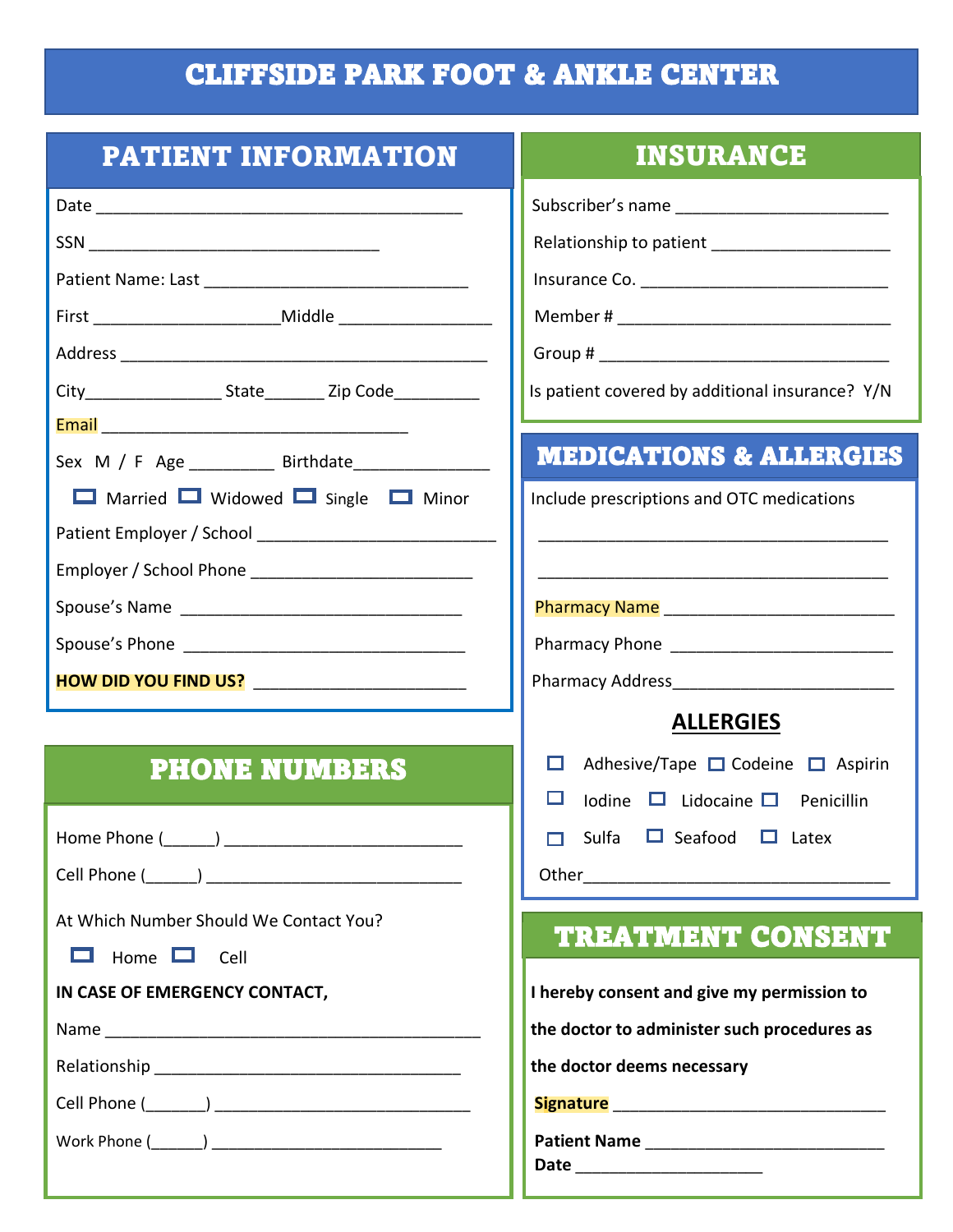# CLIFFSIDE PARK FOOT & ANKLE CENTER

| <b>PATIENT INFORMATION</b>                                     | <b>INSURANCE</b>                                |  |
|----------------------------------------------------------------|-------------------------------------------------|--|
|                                                                |                                                 |  |
|                                                                |                                                 |  |
|                                                                |                                                 |  |
|                                                                |                                                 |  |
|                                                                |                                                 |  |
| City______________________State__________ Zip Code____________ | Is patient covered by additional insurance? Y/N |  |
|                                                                |                                                 |  |
| Sex M / F Age ___________ Birthdate_________________           | <b>MEDICATIONS &amp; ALLERGIES</b>              |  |
| □ Married ■ Widowed ■ Single ■ Minor                           | Include prescriptions and OTC medications       |  |
|                                                                |                                                 |  |
|                                                                |                                                 |  |
|                                                                |                                                 |  |
|                                                                |                                                 |  |
| HOW DID YOU FIND US? __________________________                |                                                 |  |
|                                                                | <b>ALLERGIES</b>                                |  |
| <b>PHONE NUMBERS</b>                                           | Adhesive/Tape □ Codeine □ Aspirin<br>□          |  |
|                                                                | ш<br>Iodine $\Box$ Lidocaine $\Box$ Penicillin  |  |
|                                                                | Sulfa $\Box$ Seafood $\Box$ Latex               |  |
|                                                                |                                                 |  |
| At Which Number Should We Contact You?                         |                                                 |  |
| $\Box$<br>Home $\Box$ Cell                                     | <b>TREATMENT CONSENT</b>                        |  |
| IN CASE OF EMERGENCY CONTACT,                                  | I hereby consent and give my permission to      |  |
|                                                                | the doctor to administer such procedures as     |  |
|                                                                | the doctor deems necessary                      |  |
|                                                                |                                                 |  |
|                                                                |                                                 |  |
|                                                                | Date _________________________                  |  |